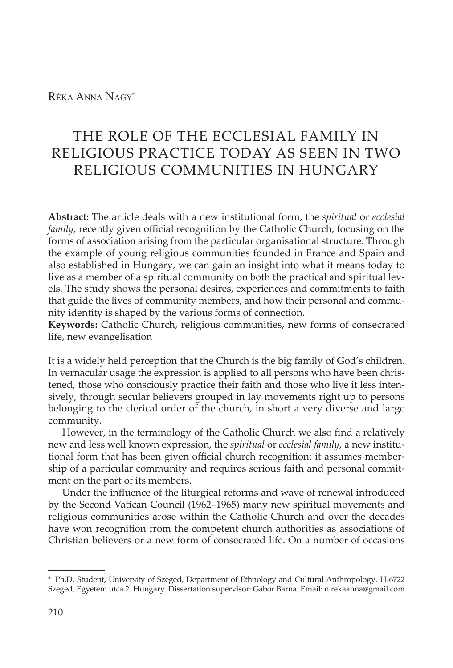## Réka Anna Nagy\*

# THE ROLE OF THE ECCLESIAL FAMILY IN RELIGIOUS PRACTICE TODAY AS SEEN IN TWO RELIGIOUS COMMUNITIES IN HUNGARY

**Abstract:** The article deals with a new institutional form, the *spiritual* or *ecclesial family*, recently given official recognition by the Catholic Church, focusing on the forms of association arising from the particular organisational structure. Through the example of young religious communities founded in France and Spain and also established in Hungary, we can gain an insight into what it means today to live as a member of a spiritual community on both the practical and spiritual levels. The study shows the personal desires, experiences and commitments to faith that guide the lives of community members, and how their personal and community identity is shaped by the various forms of connection.

**Keywords:** Catholic Church, religious communities, new forms of consecrated life, new evangelisation

It is a widely held perception that the Church is the big family of God's children. In vernacular usage the expression is applied to all persons who have been christened, those who consciously practice their faith and those who live it less intensively, through secular believers grouped in lay movements right up to persons belonging to the clerical order of the church, in short a very diverse and large community.

However, in the terminology of the Catholic Church we also find a relatively new and less well known expression, the *spiritual* or *ecclesial family*, a new institutional form that has been given official church recognition: it assumes membership of a particular community and requires serious faith and personal commitment on the part of its members.

Under the influence of the liturgical reforms and wave of renewal introduced by the Second Vatican Council (1962–1965) many new spiritual movements and religious communities arose within the Catholic Church and over the decades have won recognition from the competent church authorities as associations of Christian believers or a new form of consecrated life. On a number of occasions

<sup>\*</sup> Ph.D. Student, University of Szeged, Department of Ethnology and Cultural Anthropology. H-6722 Szeged, Egyetem utca 2. Hungary. Dissertation supervisor: Gábor Barna. Email: n.rekaanna@gmail.com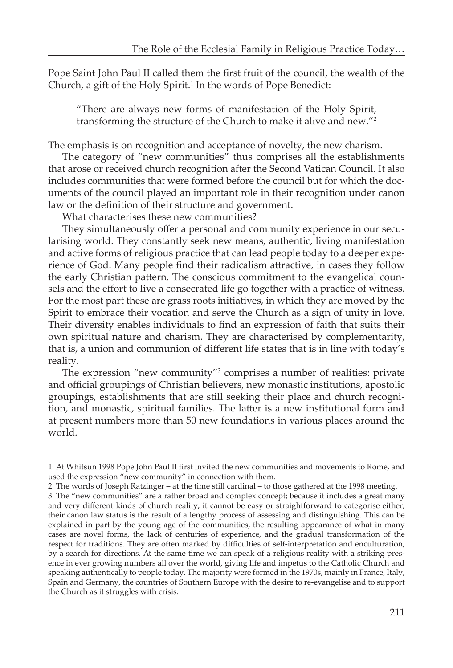Pope Saint John Paul II called them the first fruit of the council, the wealth of the Church, a gift of the Holy Spirit.<sup>1</sup> In the words of Pope Benedict:

"There are always new forms of manifestation of the Holy Spirit, transforming the structure of the Church to make it alive and new."2

The emphasis is on recognition and acceptance of novelty, the new charism.

The category of "new communities" thus comprises all the establishments that arose or received church recognition after the Second Vatican Council. It also includes communities that were formed before the council but for which the documents of the council played an important role in their recognition under canon law or the definition of their structure and government.

What characterises these new communities?

They simultaneously offer a personal and community experience in our secularising world. They constantly seek new means, authentic, living manifestation and active forms of religious practice that can lead people today to a deeper experience of God. Many people find their radicalism attractive, in cases they follow the early Christian pattern. The conscious commitment to the evangelical counsels and the effort to live a consecrated life go together with a practice of witness. For the most part these are grass roots initiatives, in which they are moved by the Spirit to embrace their vocation and serve the Church as a sign of unity in love. Their diversity enables individuals to find an expression of faith that suits their own spiritual nature and charism. They are characterised by complementarity, that is, a union and communion of different life states that is in line with today's reality.

The expression "new community"<sup>3</sup> comprises a number of realities: private and official groupings of Christian believers, new monastic institutions, apostolic groupings, establishments that are still seeking their place and church recognition, and monastic, spiritual families. The latter is a new institutional form and at present numbers more than 50 new foundations in various places around the world.

<sup>1</sup> At Whitsun 1998 Pope John Paul II first invited the new communities and movements to Rome, and used the expression "new community" in connection with them.

<sup>2</sup> The words of Joseph Ratzinger – at the time still cardinal – to those gathered at the 1998 meeting.

<sup>3</sup> The "new communities" are a rather broad and complex concept; because it includes a great many and very different kinds of church reality, it cannot be easy or straightforward to categorise either, their canon law status is the result of a lengthy process of assessing and distinguishing. This can be explained in part by the young age of the communities, the resulting appearance of what in many cases are novel forms, the lack of centuries of experience, and the gradual transformation of the respect for traditions. They are often marked by difficulties of self-interpretation and enculturation, by a search for directions. At the same time we can speak of a religious reality with a striking presence in ever growing numbers all over the world, giving life and impetus to the Catholic Church and speaking authentically to people today. The majority were formed in the 1970s, mainly in France, Italy, Spain and Germany, the countries of Southern Europe with the desire to re-evangelise and to support the Church as it struggles with crisis.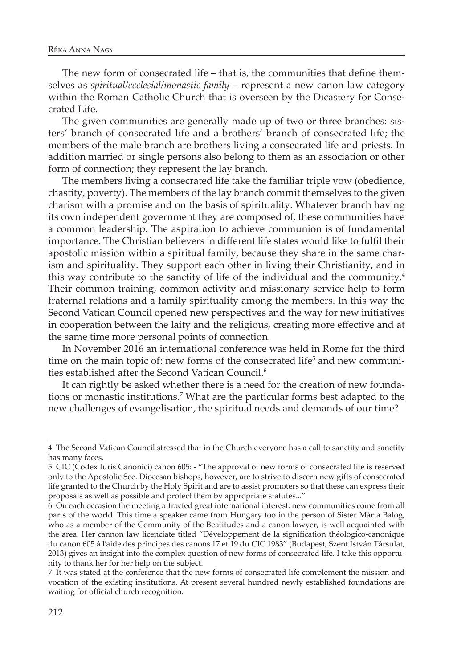The new form of consecrated life – that is, the communities that define themselves as *spiritual/ecclesial/monastic family* – represent a new canon law category within the Roman Catholic Church that is overseen by the Dicastery for Consecrated Life.

The given communities are generally made up of two or three branches: sisters' branch of consecrated life and a brothers' branch of consecrated life; the members of the male branch are brothers living a consecrated life and priests. In addition married or single persons also belong to them as an association or other form of connection; they represent the lay branch.

The members living a consecrated life take the familiar triple vow (obedience, chastity, poverty). The members of the lay branch commit themselves to the given charism with a promise and on the basis of spirituality. Whatever branch having its own independent government they are composed of, these communities have a common leadership. The aspiration to achieve communion is of fundamental importance. The Christian believers in different life states would like to fulfil their apostolic mission within a spiritual family, because they share in the same charism and spirituality. They support each other in living their Christianity, and in this way contribute to the sanctity of life of the individual and the community.4 Their common training, common activity and missionary service help to form fraternal relations and a family spirituality among the members. In this way the Second Vatican Council opened new perspectives and the way for new initiatives in cooperation between the laity and the religious, creating more effective and at the same time more personal points of connection.

In November 2016 an international conference was held in Rome for the third time on the main topic of: new forms of the consecrated life<sup>5</sup> and new communities established after the Second Vatican Council.<sup>6</sup>

It can rightly be asked whether there is a need for the creation of new foundations or monastic institutions.7 What are the particular forms best adapted to the new challenges of evangelisation, the spiritual needs and demands of our time?

<sup>4</sup> The Second Vatican Council stressed that in the Church everyone has a call to sanctity and sanctity has many faces.

<sup>5</sup> CIC (Codex Iuris Canonici) canon 605: - "The approval of new forms of consecrated life is reserved only to the Apostolic See. Diocesan bishops, however, are to strive to discern new gifts of consecrated life granted to the Church by the Holy Spirit and are to assist promoters so that these can express their proposals as well as possible and protect them by appropriate statutes..."

<sup>6</sup> On each occasion the meeting attracted great international interest: new communities come from all parts of the world. This time a speaker came from Hungary too in the person of Sister Márta Balog, who as a member of the Community of the Beatitudes and a canon lawyer, is well acquainted with the area. Her cannon law licenciate titled "Développement de la signification théologico-canonique du canon 605 á l'aide des principes des canons 17 et 19 du CIC 1983" (Budapest, Szent István Társulat, 2013) gives an insight into the complex question of new forms of consecrated life. I take this opportunity to thank her for her help on the subject.

<sup>7</sup> It was stated at the conference that the new forms of consecrated life complement the mission and vocation of the existing institutions. At present several hundred newly established foundations are waiting for official church recognition.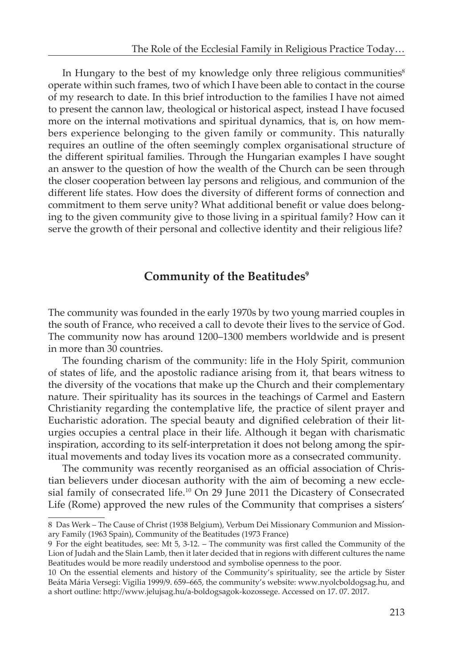In Hungary to the best of my knowledge only three religious communities $\delta$ operate within such frames, two of which I have been able to contact in the course of my research to date. In this brief introduction to the families I have not aimed to present the cannon law, theological or historical aspect, instead I have focused more on the internal motivations and spiritual dynamics, that is, on how members experience belonging to the given family or community. This naturally requires an outline of the often seemingly complex organisational structure of the different spiritual families. Through the Hungarian examples I have sought an answer to the question of how the wealth of the Church can be seen through the closer cooperation between lay persons and religious, and communion of the different life states. How does the diversity of different forms of connection and commitment to them serve unity? What additional benefit or value does belonging to the given community give to those living in a spiritual family? How can it serve the growth of their personal and collective identity and their religious life?

## **Community of the Beatitudes<sup>9</sup>**

The community was founded in the early 1970s by two young married couples in the south of France, who received a call to devote their lives to the service of God. The community now has around 1200–1300 members worldwide and is present in more than 30 countries.

The founding charism of the community: life in the Holy Spirit, communion of states of life, and the apostolic radiance arising from it, that bears witness to the diversity of the vocations that make up the Church and their complementary nature. Their spirituality has its sources in the teachings of Carmel and Eastern Christianity regarding the contemplative life, the practice of silent prayer and Eucharistic adoration. The special beauty and dignified celebration of their liturgies occupies a central place in their life. Although it began with charismatic inspiration, according to its self-interpretation it does not belong among the spiritual movements and today lives its vocation more as a consecrated community.

The community was recently reorganised as an official association of Christian believers under diocesan authority with the aim of becoming a new ecclesial family of consecrated life.<sup>10</sup> On 29 June 2011 the Dicastery of Consecrated Life (Rome) approved the new rules of the Community that comprises a sisters'

<sup>8</sup> Das Werk – The Cause of Christ (1938 Belgium), Verbum Dei Missionary Communion and Missionary Family (1963 Spain), Community of the Beatitudes (1973 France)

<sup>9</sup> For the eight beatitudes, see: Mt 5, 3-12. – The community was first called the Community of the Lion of Judah and the Slain Lamb, then it later decided that in regions with different cultures the name Beatitudes would be more readily understood and symbolise openness to the poor.

<sup>10</sup> On the essential elements and history of the Community's spirituality, see the article by Sister Beáta Mária Versegi: Vigilia 1999/9. 659–665, the community's website: www.nyolcboldogsag.hu, and a short outline: http://www.jelujsag.hu/a-boldogsagok-kozossege. Accessed on 17. 07. 2017.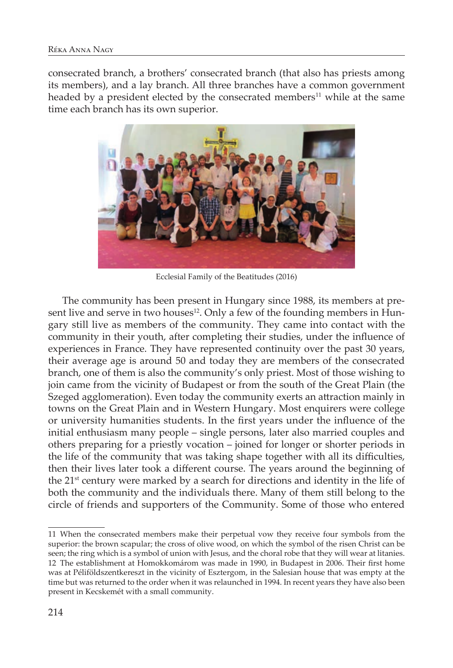consecrated branch, a brothers' consecrated branch (that also has priests among its members), and a lay branch. All three branches have a common government headed by a president elected by the consecrated members<sup>11</sup> while at the same time each branch has its own superior.



Ecclesial Family of the Beatitudes (2016)

The community has been present in Hungary since 1988, its members at present live and serve in two houses<sup>12</sup>. Only a few of the founding members in Hungary still live as members of the community. They came into contact with the community in their youth, after completing their studies, under the influence of experiences in France. They have represented continuity over the past 30 years, their average age is around 50 and today they are members of the consecrated branch, one of them is also the community's only priest. Most of those wishing to join came from the vicinity of Budapest or from the south of the Great Plain (the Szeged agglomeration). Even today the community exerts an attraction mainly in towns on the Great Plain and in Western Hungary. Most enquirers were college or university humanities students. In the first years under the influence of the initial enthusiasm many people – single persons, later also married couples and others preparing for a priestly vocation – joined for longer or shorter periods in the life of the community that was taking shape together with all its difficulties, then their lives later took a different course. The years around the beginning of the 21<sup>st</sup> century were marked by a search for directions and identity in the life of both the community and the individuals there. Many of them still belong to the circle of friends and supporters of the Community. Some of those who entered

<sup>11</sup> When the consecrated members make their perpetual vow they receive four symbols from the superior: the brown scapular; the cross of olive wood, on which the symbol of the risen Christ can be seen; the ring which is a symbol of union with Jesus, and the choral robe that they will wear at litanies. 12 The establishment at Homokkomárom was made in 1990, in Budapest in 2006. Their first home was at Péliföldszentkereszt in the vicinity of Esztergom, in the Salesian house that was empty at the time but was returned to the order when it was relaunched in 1994. In recent years they have also been present in Kecskemét with a small community.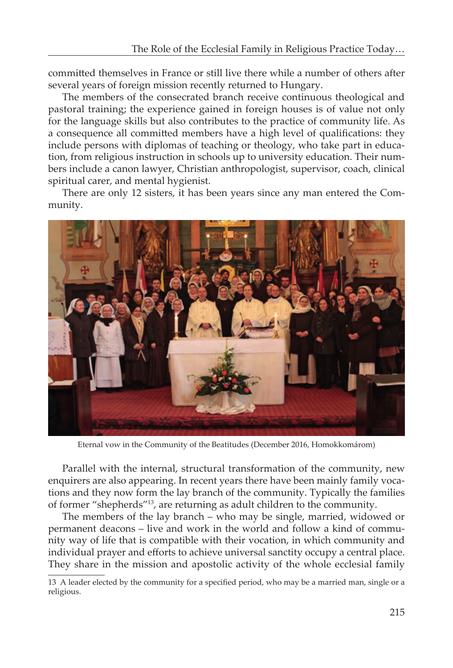committed themselves in France or still live there while a number of others after several years of foreign mission recently returned to Hungary.

The members of the consecrated branch receive continuous theological and pastoral training; the experience gained in foreign houses is of value not only for the language skills but also contributes to the practice of community life. As a consequence all committed members have a high level of qualifications: they include persons with diplomas of teaching or theology, who take part in education, from religious instruction in schools up to university education. Their numbers include a canon lawyer, Christian anthropologist, supervisor, coach, clinical spiritual carer, and mental hygienist.

There are only 12 sisters, it has been years since any man entered the Community.



Eternal vow in the Community of the Beatitudes (December 2016, Homokkomárom)

Parallel with the internal, structural transformation of the community, new enquirers are also appearing. In recent years there have been mainly family vocations and they now form the lay branch of the community. Typically the families of former "shepherds"13, are returning as adult children to the community.

The members of the lay branch – who may be single, married, widowed or permanent deacons – live and work in the world and follow a kind of community way of life that is compatible with their vocation, in which community and individual prayer and efforts to achieve universal sanctity occupy a central place. They share in the mission and apostolic activity of the whole ecclesial family

<sup>13</sup> A leader elected by the community for a specified period, who may be a married man, single or a religious.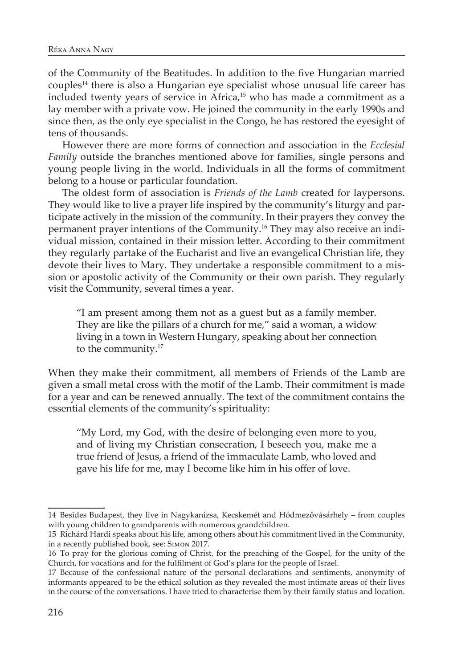of the Community of the Beatitudes. In addition to the five Hungarian married couples14 there is also a Hungarian eye specialist whose unusual life career has included twenty years of service in Africa,<sup>15</sup> who has made a commitment as a lay member with a private vow. He joined the community in the early 1990s and since then, as the only eye specialist in the Congo, he has restored the eyesight of tens of thousands.

However there are more forms of connection and association in the *Ecclesial Family* outside the branches mentioned above for families, single persons and young people living in the world. Individuals in all the forms of commitment belong to a house or particular foundation.

The oldest form of association is *Friends of the Lamb* created for laypersons. They would like to live a prayer life inspired by the community's liturgy and participate actively in the mission of the community. In their prayers they convey the permanent prayer intentions of the Community.16 They may also receive an individual mission, contained in their mission letter. According to their commitment they regularly partake of the Eucharist and live an evangelical Christian life, they devote their lives to Mary. They undertake a responsible commitment to a mission or apostolic activity of the Community or their own parish. They regularly visit the Community, several times a year.

"I am present among them not as a guest but as a family member. They are like the pillars of a church for me," said a woman, a widow living in a town in Western Hungary, speaking about her connection to the community.<sup>17</sup>

When they make their commitment, all members of Friends of the Lamb are given a small metal cross with the motif of the Lamb. Their commitment is made for a year and can be renewed annually. The text of the commitment contains the essential elements of the community's spirituality:

"My Lord, my God, with the desire of belonging even more to you, and of living my Christian consecration, I beseech you, make me a true friend of Jesus, a friend of the immaculate Lamb, who loved and gave his life for me, may I become like him in his offer of love.

<sup>14</sup> Besides Budapest, they live in Nagykanizsa, Kecskemét and Hódmezővásárhely – from couples with young children to grandparents with numerous grandchildren.

<sup>15</sup> Richárd Hardi speaks about his life, among others about his commitment lived in the Community, in a recently published book, see: Simon 2017.

<sup>16</sup> To pray for the glorious coming of Christ, for the preaching of the Gospel, for the unity of the Church, for vocations and for the fulfilment of God's plans for the people of Israel.

<sup>17</sup> Because of the confessional nature of the personal declarations and sentiments, anonymity of informants appeared to be the ethical solution as they revealed the most intimate areas of their lives in the course of the conversations. I have tried to characterise them by their family status and location.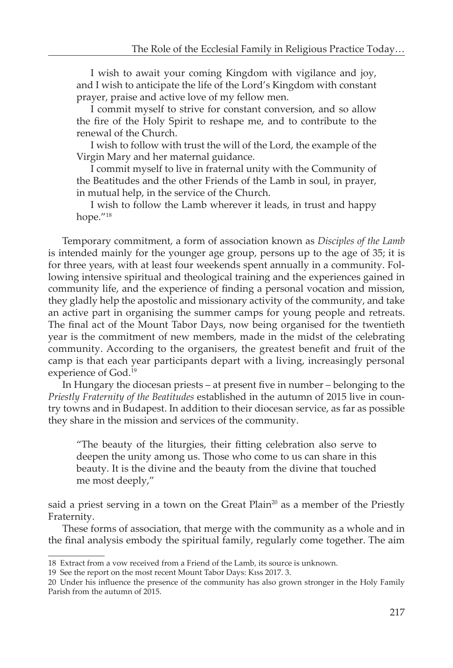I wish to await your coming Kingdom with vigilance and joy, and I wish to anticipate the life of the Lord's Kingdom with constant prayer, praise and active love of my fellow men.

I commit myself to strive for constant conversion, and so allow the fire of the Holy Spirit to reshape me, and to contribute to the renewal of the Church.

I wish to follow with trust the will of the Lord, the example of the Virgin Mary and her maternal guidance.

I commit myself to live in fraternal unity with the Community of the Beatitudes and the other Friends of the Lamb in soul, in prayer, in mutual help, in the service of the Church.

I wish to follow the Lamb wherever it leads, in trust and happy hope."18

Temporary commitment, a form of association known as *Disciples of the Lamb* is intended mainly for the younger age group, persons up to the age of 35; it is for three years, with at least four weekends spent annually in a community. Following intensive spiritual and theological training and the experiences gained in community life, and the experience of finding a personal vocation and mission, they gladly help the apostolic and missionary activity of the community, and take an active part in organising the summer camps for young people and retreats. The final act of the Mount Tabor Days, now being organised for the twentieth year is the commitment of new members, made in the midst of the celebrating community. According to the organisers, the greatest benefit and fruit of the camp is that each year participants depart with a living, increasingly personal experience of God.19

In Hungary the diocesan priests – at present five in number – belonging to the *Priestly Fraternity of the Beatitudes* established in the autumn of 2015 live in country towns and in Budapest. In addition to their diocesan service, as far as possible they share in the mission and services of the community.

"The beauty of the liturgies, their fitting celebration also serve to deepen the unity among us. Those who come to us can share in this beauty. It is the divine and the beauty from the divine that touched me most deeply,"

said a priest serving in a town on the Great Plain<sup>20</sup> as a member of the Priestly Fraternity.

These forms of association, that merge with the community as a whole and in the final analysis embody the spiritual family, regularly come together. The aim

<sup>18</sup> Extract from a vow received from a Friend of the Lamb, its source is unknown.

<sup>19</sup> See the report on the most recent Mount Tabor Days: Kiss 2017. 3.

<sup>20</sup> Under his influence the presence of the community has also grown stronger in the Holy Family Parish from the autumn of 2015.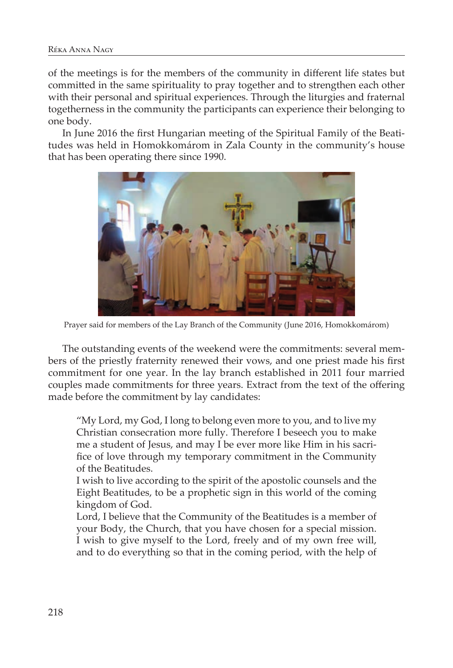of the meetings is for the members of the community in different life states but committed in the same spirituality to pray together and to strengthen each other with their personal and spiritual experiences. Through the liturgies and fraternal togetherness in the community the participants can experience their belonging to one body.

In June 2016 the first Hungarian meeting of the Spiritual Family of the Beatitudes was held in Homokkomárom in Zala County in the community's house that has been operating there since 1990.



Prayer said for members of the Lay Branch of the Community (June 2016, Homokkomárom)

The outstanding events of the weekend were the commitments: several members of the priestly fraternity renewed their vows, and one priest made his first commitment for one year. In the lay branch established in 2011 four married couples made commitments for three years. Extract from the text of the offering made before the commitment by lay candidates:

"My Lord, my God, I long to belong even more to you, and to live my Christian consecration more fully. Therefore I beseech you to make me a student of Jesus, and may I be ever more like Him in his sacrifice of love through my temporary commitment in the Community of the Beatitudes.

I wish to live according to the spirit of the apostolic counsels and the Eight Beatitudes, to be a prophetic sign in this world of the coming kingdom of God.

Lord, I believe that the Community of the Beatitudes is a member of your Body, the Church, that you have chosen for a special mission. I wish to give myself to the Lord, freely and of my own free will, and to do everything so that in the coming period, with the help of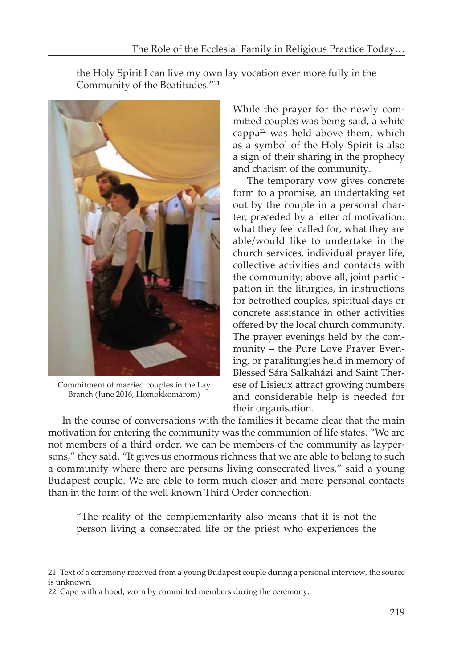the Holy Spirit I can live my own lay vocation ever more fully in the



Community of the Beatitudes."21

Commitment of married couples in the Lay Branch (June 2016, Homokkomárom)

While the prayer for the newly committed couples was being said, a white cappa<sup>22</sup> was held above them, which as a symbol of the Holy Spirit is also a sign of their sharing in the prophecy and charism of the community.

The temporary vow gives concrete form to a promise, an undertaking set out by the couple in a personal charter, preceded by a letter of motivation: what they feel called for, what they are able/would like to undertake in the church services, individual prayer life, collective activities and contacts with the community; above all, joint participation in the liturgies, in instructions for betrothed couples, spiritual days or concrete assistance in other activities offered by the local church community. The prayer evenings held by the community – the Pure Love Prayer Evening, or paraliturgies held in memory of Blessed Sára Salkaházi and Saint Therese of Lisieux attract growing numbers and considerable help is needed for their organisation.

In the course of conversations with the families it became clear that the main motivation for entering the community was the communion of life states. "We are not members of a third order, we can be members of the community as laypersons," they said. "It gives us enormous richness that we are able to belong to such a community where there are persons living consecrated lives," said a young Budapest couple. We are able to form much closer and more personal contacts than in the form of the well known Third Order connection.

"The reality of the complementarity also means that it is not the person living a consecrated life or the priest who experiences the

<sup>21</sup> Text of a ceremony received from a young Budapest couple during a personal interview, the source is unknown.

<sup>22</sup> Cape with a hood, worn by committed members during the ceremony.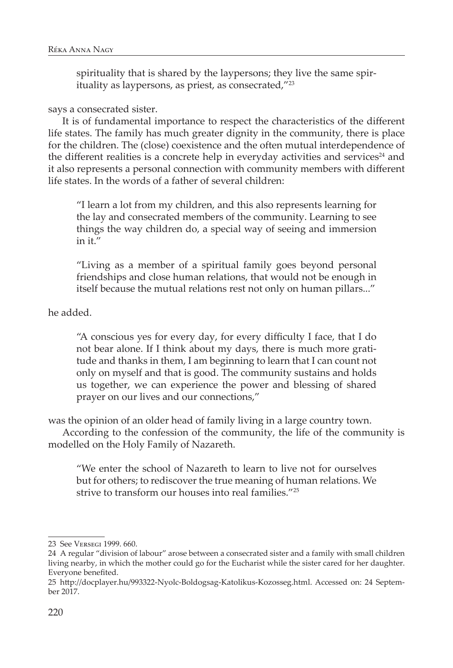spirituality that is shared by the laypersons; they live the same spirituality as laypersons, as priest, as consecrated,"23

## says a consecrated sister.

It is of fundamental importance to respect the characteristics of the different life states. The family has much greater dignity in the community, there is place for the children. The (close) coexistence and the often mutual interdependence of the different realities is a concrete help in everyday activities and services<sup>24</sup> and it also represents a personal connection with community members with different life states. In the words of a father of several children:

"I learn a lot from my children, and this also represents learning for the lay and consecrated members of the community. Learning to see things the way children do, a special way of seeing and immersion in it."

"Living as a member of a spiritual family goes beyond personal friendships and close human relations, that would not be enough in itself because the mutual relations rest not only on human pillars..."

he added.

"A conscious yes for every day, for every difficulty I face, that I do not bear alone. If I think about my days, there is much more gratitude and thanks in them, I am beginning to learn that I can count not only on myself and that is good. The community sustains and holds us together, we can experience the power and blessing of shared prayer on our lives and our connections,"

was the opinion of an older head of family living in a large country town.

According to the confession of the community, the life of the community is modelled on the Holy Family of Nazareth.

"We enter the school of Nazareth to learn to live not for ourselves but for others; to rediscover the true meaning of human relations. We strive to transform our houses into real families."25

<sup>23</sup> See Versegi 1999. 660.

<sup>24</sup> A regular "division of labour" arose between a consecrated sister and a family with small children living nearby, in which the mother could go for the Eucharist while the sister cared for her daughter. Everyone benefited.

<sup>25</sup> http://docplayer.hu/993322-Nyolc-Boldogsag-Katolikus-Kozosseg.html. Accessed on: 24 September 2017.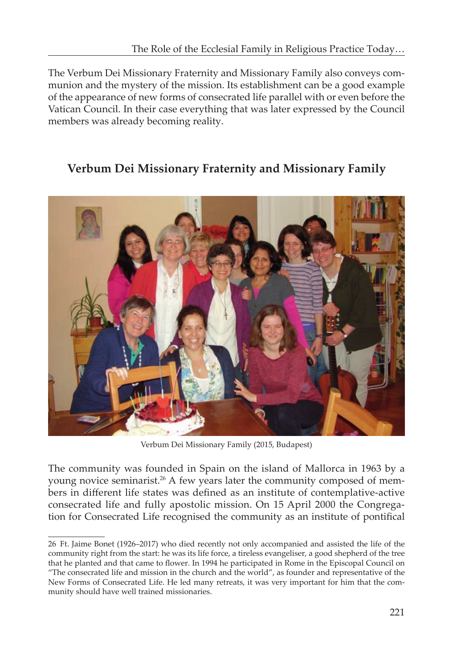The Verbum Dei Missionary Fraternity and Missionary Family also conveys communion and the mystery of the mission. Its establishment can be a good example of the appearance of new forms of consecrated life parallel with or even before the Vatican Council. In their case everything that was later expressed by the Council members was already becoming reality.

## **Verbum Dei Missionary Fraternity and Missionary Family**



Verbum Dei Missionary Family (2015, Budapest)

The community was founded in Spain on the island of Mallorca in 1963 by a young novice seminarist.<sup>26</sup> A few years later the community composed of members in different life states was defined as an institute of contemplative-active consecrated life and fully apostolic mission. On 15 April 2000 the Congregation for Consecrated Life recognised the community as an institute of pontifical

<sup>26</sup> Ft. Jaime Bonet (1926–2017) who died recently not only accompanied and assisted the life of the community right from the start: he was its life force, a tireless evangeliser, a good shepherd of the tree that he planted and that came to flower. In 1994 he participated in Rome in the Episcopal Council on "The consecrated life and mission in the church and the world", as founder and representative of the New Forms of Consecrated Life. He led many retreats, it was very important for him that the community should have well trained missionaries.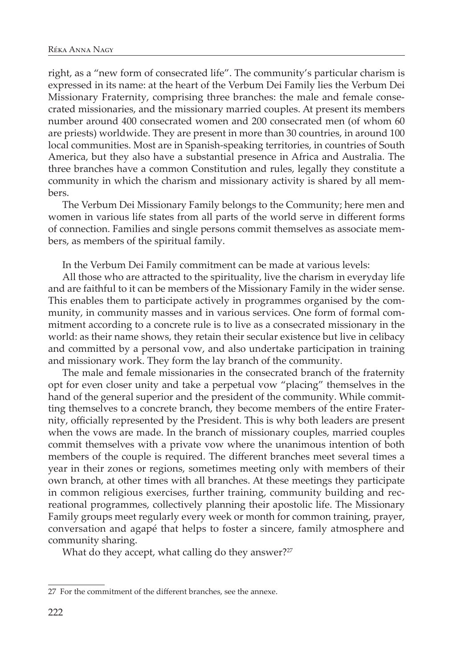right, as a "new form of consecrated life". The community's particular charism is expressed in its name: at the heart of the Verbum Dei Family lies the Verbum Dei Missionary Fraternity, comprising three branches: the male and female consecrated missionaries, and the missionary married couples. At present its members number around 400 consecrated women and 200 consecrated men (of whom 60 are priests) worldwide. They are present in more than 30 countries, in around 100 local communities. Most are in Spanish-speaking territories, in countries of South America, but they also have a substantial presence in Africa and Australia. The three branches have a common Constitution and rules, legally they constitute a community in which the charism and missionary activity is shared by all members.

The Verbum Dei Missionary Family belongs to the Community; here men and women in various life states from all parts of the world serve in different forms of connection. Families and single persons commit themselves as associate members, as members of the spiritual family.

In the Verbum Dei Family commitment can be made at various levels:

All those who are attracted to the spirituality, live the charism in everyday life and are faithful to it can be members of the Missionary Family in the wider sense. This enables them to participate actively in programmes organised by the community, in community masses and in various services. One form of formal commitment according to a concrete rule is to live as a consecrated missionary in the world: as their name shows, they retain their secular existence but live in celibacy and committed by a personal vow, and also undertake participation in training and missionary work. They form the lay branch of the community.

The male and female missionaries in the consecrated branch of the fraternity opt for even closer unity and take a perpetual vow "placing" themselves in the hand of the general superior and the president of the community. While committing themselves to a concrete branch, they become members of the entire Fraternity, officially represented by the President. This is why both leaders are present when the vows are made. In the branch of missionary couples, married couples commit themselves with a private vow where the unanimous intention of both members of the couple is required. The different branches meet several times a year in their zones or regions, sometimes meeting only with members of their own branch, at other times with all branches. At these meetings they participate in common religious exercises, further training, community building and recreational programmes, collectively planning their apostolic life. The Missionary Family groups meet regularly every week or month for common training, prayer, conversation and agapé that helps to foster a sincere, family atmosphere and community sharing.

What do they accept, what calling do they answer?<sup>27</sup>

<sup>27</sup> For the commitment of the different branches, see the annexe.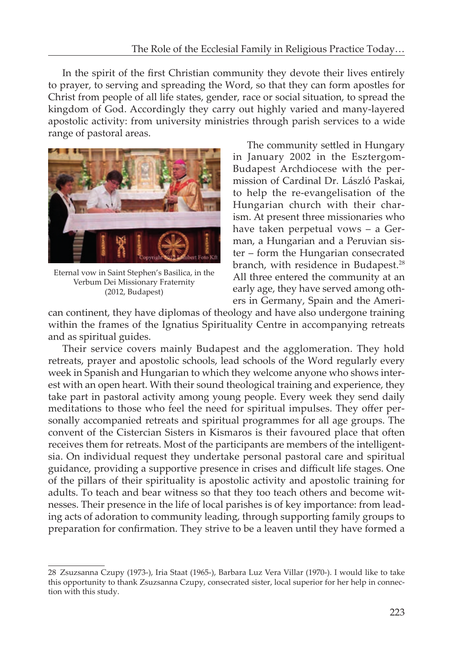In the spirit of the first Christian community they devote their lives entirely to prayer, to serving and spreading the Word, so that they can form apostles for Christ from people of all life states, gender, race or social situation, to spread the kingdom of God. Accordingly they carry out highly varied and many-layered apostolic activity: from university ministries through parish services to a wide range of pastoral areas.



Eternal vow in Saint Stephen's Basilica, in the Verbum Dei Missionary Fraternity (2012, Budapest)

The community settled in Hungary in January 2002 in the Esztergom-Budapest Archdiocese with the permission of Cardinal Dr. László Paskai, to help the re-evangelisation of the Hungarian church with their charism. At present three missionaries who have taken perpetual vows – a German, a Hungarian and a Peruvian sister – form the Hungarian consecrated branch, with residence in Budapest.<sup>28</sup> All three entered the community at an early age, they have served among others in Germany, Spain and the Ameri-

can continent, they have diplomas of theology and have also undergone training within the frames of the Ignatius Spirituality Centre in accompanying retreats and as spiritual guides.

Their service covers mainly Budapest and the agglomeration. They hold retreats, prayer and apostolic schools, lead schools of the Word regularly every week in Spanish and Hungarian to which they welcome anyone who shows interest with an open heart. With their sound theological training and experience, they take part in pastoral activity among young people. Every week they send daily meditations to those who feel the need for spiritual impulses. They offer personally accompanied retreats and spiritual programmes for all age groups. The convent of the Cistercian Sisters in Kismaros is their favoured place that often receives them for retreats. Most of the participants are members of the intelligentsia. On individual request they undertake personal pastoral care and spiritual guidance, providing a supportive presence in crises and difficult life stages. One of the pillars of their spirituality is apostolic activity and apostolic training for adults. To teach and bear witness so that they too teach others and become witnesses. Their presence in the life of local parishes is of key importance: from leading acts of adoration to community leading, through supporting family groups to preparation for confirmation. They strive to be a leaven until they have formed a

<sup>28</sup> Zsuzsanna Czupy (1973-), Iria Staat (1965-), Barbara Luz Vera Villar (1970-). I would like to take this opportunity to thank Zsuzsanna Czupy, consecrated sister, local superior for her help in connection with this study.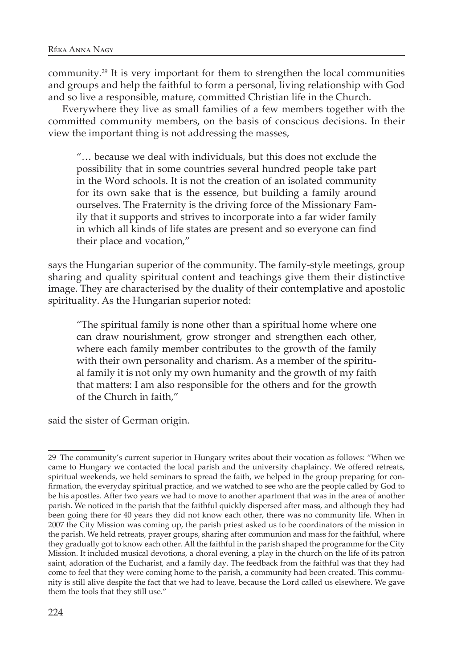community.29 It is very important for them to strengthen the local communities and groups and help the faithful to form a personal, living relationship with God and so live a responsible, mature, committed Christian life in the Church.

Everywhere they live as small families of a few members together with the committed community members, on the basis of conscious decisions. In their view the important thing is not addressing the masses,

"… because we deal with individuals, but this does not exclude the possibility that in some countries several hundred people take part in the Word schools. It is not the creation of an isolated community for its own sake that is the essence, but building a family around ourselves. The Fraternity is the driving force of the Missionary Family that it supports and strives to incorporate into a far wider family in which all kinds of life states are present and so everyone can find their place and vocation,"

says the Hungarian superior of the community. The family-style meetings, group sharing and quality spiritual content and teachings give them their distinctive image. They are characterised by the duality of their contemplative and apostolic spirituality. As the Hungarian superior noted:

"The spiritual family is none other than a spiritual home where one can draw nourishment, grow stronger and strengthen each other, where each family member contributes to the growth of the family with their own personality and charism. As a member of the spiritual family it is not only my own humanity and the growth of my faith that matters: I am also responsible for the others and for the growth of the Church in faith,"

said the sister of German origin.

<sup>29</sup> The community's current superior in Hungary writes about their vocation as follows: "When we came to Hungary we contacted the local parish and the university chaplaincy. We offered retreats, spiritual weekends, we held seminars to spread the faith, we helped in the group preparing for confirmation, the everyday spiritual practice, and we watched to see who are the people called by God to be his apostles. After two years we had to move to another apartment that was in the area of another parish. We noticed in the parish that the faithful quickly dispersed after mass, and although they had been going there for 40 years they did not know each other, there was no community life. When in 2007 the City Mission was coming up, the parish priest asked us to be coordinators of the mission in the parish. We held retreats, prayer groups, sharing after communion and mass for the faithful, where they gradually got to know each other. All the faithful in the parish shaped the programme for the City Mission. It included musical devotions, a choral evening, a play in the church on the life of its patron saint, adoration of the Eucharist, and a family day. The feedback from the faithful was that they had come to feel that they were coming home to the parish, a community had been created. This community is still alive despite the fact that we had to leave, because the Lord called us elsewhere. We gave them the tools that they still use."